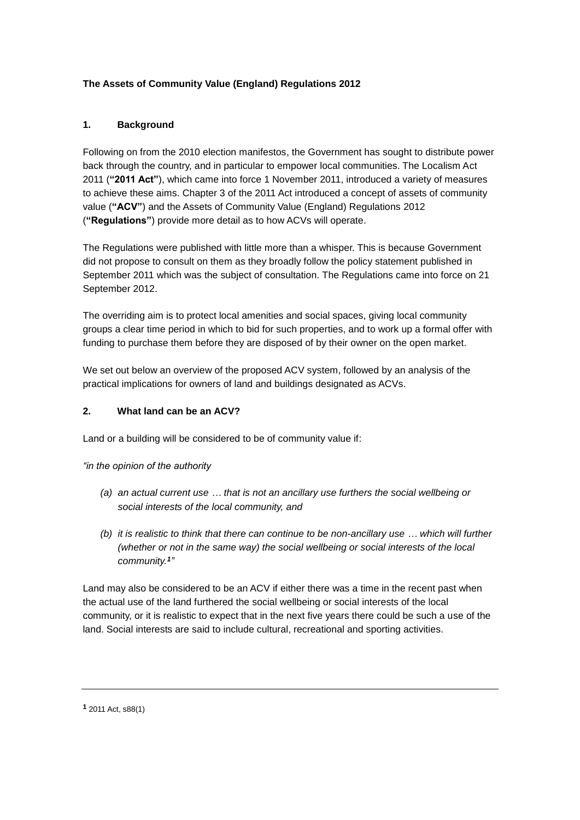# **The Assets of Community Value (England) Regulations 2012**

## **1. Background**

Following on from the 2010 election manifestos, the Government has sought to distribute power back through the country, and in particular to empower local communities. The Localism Act 2011 (**"2011 Act"**), which came into force 1 November 2011, introduced a variety of measures to achieve these aims. Chapter 3 of the 2011 Act introduced a concept of assets of community value (**"ACV"**) and the Assets of Community Value (England) Regulations 2012 (**"Regulations"**) provide more detail as to how ACVs will operate.

The Regulations were published with little more than a whisper. This is because Government did not propose to consult on them as they broadly follow the policy statement published in September 2011 which was the subject of consultation. The Regulations came into force on 21 September 2012.

The overriding aim is to protect local amenities and social spaces, giving local community groups a clear time period in which to bid for such properties, and to work up a formal offer with funding to purchase them before they are disposed of by their owner on the open market.

We set out below an overview of the proposed ACV system, followed by an analysis of the practical implications for owners of land and buildings designated as ACVs.

#### **2. What land can be an ACV?**

Land or a building will be considered to be of community value if:

*"in the opinion of the authority*

- *(a) an actual current use … that is not an ancillary use furthers the social wellbeing or social interests of the local community, and*
- *(b) it is realistic to think that there can continue to be non-ancillary use … which will further (whether or not in the same way) the social wellbeing or social interests of the local community. 1 "*

Land may also be considered to be an ACV if either there was a time in the recent past when the actual use of the land furthered the social wellbeing or social interests of the local community, or it is realistic to expect that in the next five years there could be such a use of the land. Social interests are said to include cultural, recreational and sporting activities.

**<sup>1</sup>** 2011 Act, s88(1)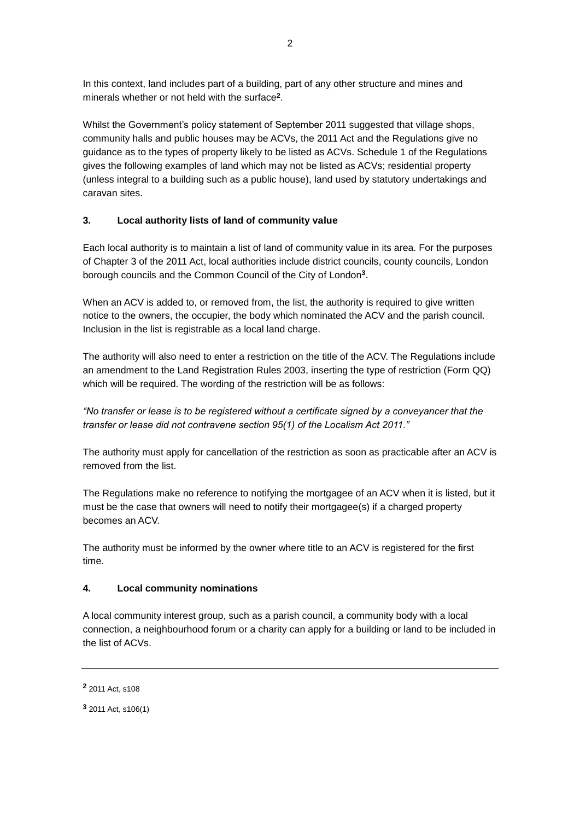In this context, land includes part of a building, part of any other structure and mines and minerals whether or not held with the surface**<sup>2</sup>** .

Whilst the Government's policy statement of September 2011 suggested that village shops, community halls and public houses may be ACVs, the 2011 Act and the Regulations give no guidance as to the types of property likely to be listed as ACVs. Schedule 1 of the Regulations gives the following examples of land which may not be listed as ACVs; residential property (unless integral to a building such as a public house), land used by statutory undertakings and caravan sites.

#### **3. Local authority lists of land of community value**

Each local authority is to maintain a list of land of community value in its area. For the purposes of Chapter 3 of the 2011 Act, local authorities include district councils, county councils, London borough councils and the Common Council of the City of London**<sup>3</sup>** .

When an ACV is added to, or removed from, the list, the authority is required to give written notice to the owners, the occupier, the body which nominated the ACV and the parish council. Inclusion in the list is registrable as a local land charge.

The authority will also need to enter a restriction on the title of the ACV. The Regulations include an amendment to the Land Registration Rules 2003, inserting the type of restriction (Form QQ) which will be required. The wording of the restriction will be as follows:

*"No transfer or lease is to be registered without a certificate signed by a conveyancer that the transfer or lease did not contravene section 95(1) of the Localism Act 2011."*

The authority must apply for cancellation of the restriction as soon as practicable after an ACV is removed from the list.

The Regulations make no reference to notifying the mortgagee of an ACV when it is listed, but it must be the case that owners will need to notify their mortgagee(s) if a charged property becomes an ACV.

The authority must be informed by the owner where title to an ACV is registered for the first time.

#### **4. Local community nominations**

A local community interest group, such as a parish council, a community body with a local connection, a neighbourhood forum or a charity can apply for a building or land to be included in the list of ACVs.

**<sup>2</sup>** 2011 Act, s108

**<sup>3</sup>** 2011 Act, s106(1)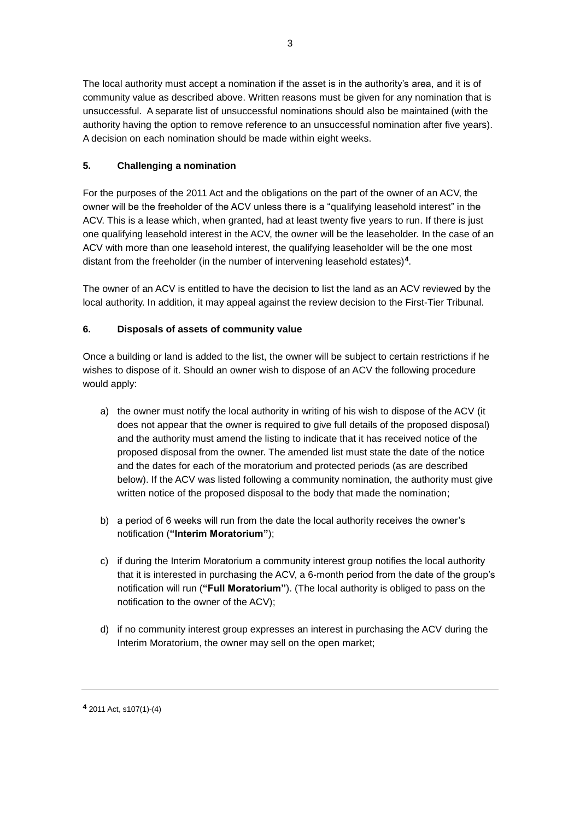The local authority must accept a nomination if the asset is in the authority's area, and it is of community value as described above. Written reasons must be given for any nomination that is unsuccessful. A separate list of unsuccessful nominations should also be maintained (with the authority having the option to remove reference to an unsuccessful nomination after five years). A decision on each nomination should be made within eight weeks.

## **5. Challenging a nomination**

For the purposes of the 2011 Act and the obligations on the part of the owner of an ACV, the owner will be the freeholder of the ACV unless there is a "qualifying leasehold interest" in the ACV. This is a lease which, when granted, had at least twenty five years to run. If there is just one qualifying leasehold interest in the ACV, the owner will be the leaseholder. In the case of an ACV with more than one leasehold interest, the qualifying leaseholder will be the one most distant from the freeholder (in the number of intervening leasehold estates)**<sup>4</sup>** .

The owner of an ACV is entitled to have the decision to list the land as an ACV reviewed by the local authority. In addition, it may appeal against the review decision to the First-Tier Tribunal.

## **6. Disposals of assets of community value**

Once a building or land is added to the list, the owner will be subject to certain restrictions if he wishes to dispose of it. Should an owner wish to dispose of an ACV the following procedure would apply:

- a) the owner must notify the local authority in writing of his wish to dispose of the ACV (it does not appear that the owner is required to give full details of the proposed disposal) and the authority must amend the listing to indicate that it has received notice of the proposed disposal from the owner. The amended list must state the date of the notice and the dates for each of the moratorium and protected periods (as are described below). If the ACV was listed following a community nomination, the authority must give written notice of the proposed disposal to the body that made the nomination;
- b) a period of 6 weeks will run from the date the local authority receives the owner's notification (**"Interim Moratorium"**);
- c) if during the Interim Moratorium a community interest group notifies the local authority that it is interested in purchasing the ACV, a 6-month period from the date of the group's notification will run (**"Full Moratorium"**). (The local authority is obliged to pass on the notification to the owner of the ACV);
- d) if no community interest group expresses an interest in purchasing the ACV during the Interim Moratorium, the owner may sell on the open market;

**<sup>4</sup>** 2011 Act, s107(1)-(4)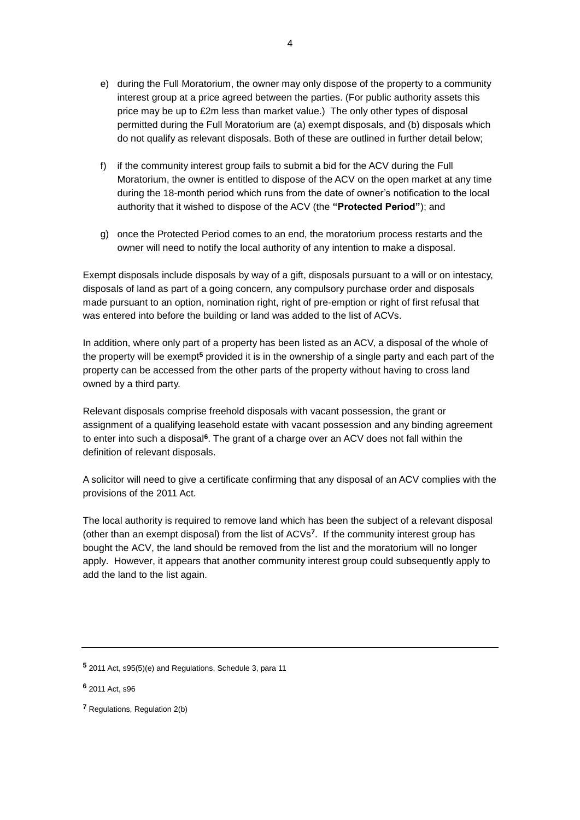- e) during the Full Moratorium, the owner may only dispose of the property to a community interest group at a price agreed between the parties. (For public authority assets this price may be up to £2m less than market value.) The only other types of disposal permitted during the Full Moratorium are (a) exempt disposals, and (b) disposals which do not qualify as relevant disposals. Both of these are outlined in further detail below;
- f) if the community interest group fails to submit a bid for the ACV during the Full Moratorium, the owner is entitled to dispose of the ACV on the open market at any time during the 18-month period which runs from the date of owner's notification to the local authority that it wished to dispose of the ACV (the **"Protected Period"**); and
- g) once the Protected Period comes to an end, the moratorium process restarts and the owner will need to notify the local authority of any intention to make a disposal.

Exempt disposals include disposals by way of a gift, disposals pursuant to a will or on intestacy, disposals of land as part of a going concern, any compulsory purchase order and disposals made pursuant to an option, nomination right, right of pre-emption or right of first refusal that was entered into before the building or land was added to the list of ACVs.

In addition, where only part of a property has been listed as an ACV, a disposal of the whole of the property will be exempt**<sup>5</sup>** provided it is in the ownership of a single party and each part of the property can be accessed from the other parts of the property without having to cross land owned by a third party.

Relevant disposals comprise freehold disposals with vacant possession, the grant or assignment of a qualifying leasehold estate with vacant possession and any binding agreement to enter into such a disposal**<sup>6</sup>** . The grant of a charge over an ACV does not fall within the definition of relevant disposals.

A solicitor will need to give a certificate confirming that any disposal of an ACV complies with the provisions of the 2011 Act.

The local authority is required to remove land which has been the subject of a relevant disposal (other than an exempt disposal) from the list of ACVs**<sup>7</sup>** . If the community interest group has bought the ACV, the land should be removed from the list and the moratorium will no longer apply. However, it appears that another community interest group could subsequently apply to add the land to the list again.

**<sup>5</sup>** 2011 Act, s95(5)(e) and Regulations, Schedule 3, para 11

**<sup>6</sup>** 2011 Act, s96

**<sup>7</sup>** Regulations, Regulation 2(b)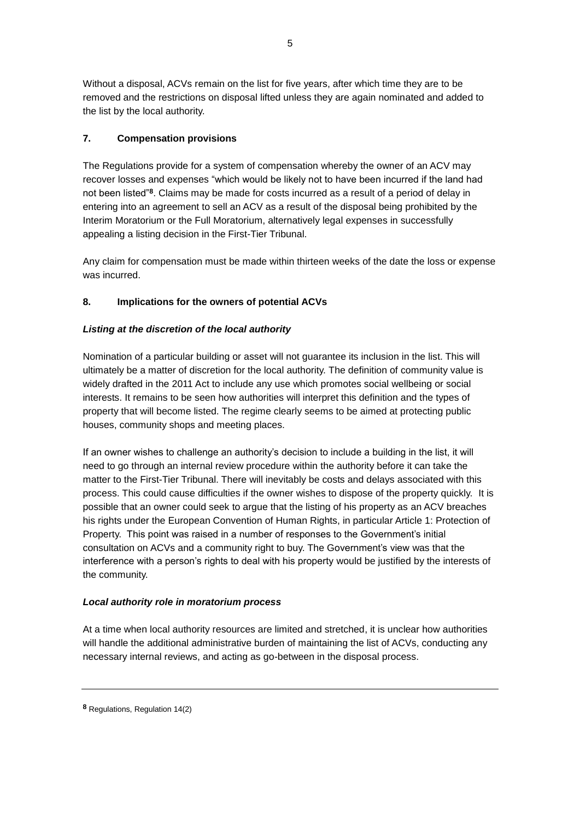Without a disposal, ACVs remain on the list for five years, after which time they are to be removed and the restrictions on disposal lifted unless they are again nominated and added to the list by the local authority.

## **7. Compensation provisions**

The Regulations provide for a system of compensation whereby the owner of an ACV may recover losses and expenses "which would be likely not to have been incurred if the land had not been listed"**<sup>8</sup>** . Claims may be made for costs incurred as a result of a period of delay in entering into an agreement to sell an ACV as a result of the disposal being prohibited by the Interim Moratorium or the Full Moratorium, alternatively legal expenses in successfully appealing a listing decision in the First-Tier Tribunal.

Any claim for compensation must be made within thirteen weeks of the date the loss or expense was incurred.

# **8. Implications for the owners of potential ACVs**

## *Listing at the discretion of the local authority*

Nomination of a particular building or asset will not guarantee its inclusion in the list. This will ultimately be a matter of discretion for the local authority. The definition of community value is widely drafted in the 2011 Act to include any use which promotes social wellbeing or social interests. It remains to be seen how authorities will interpret this definition and the types of property that will become listed. The regime clearly seems to be aimed at protecting public houses, community shops and meeting places.

If an owner wishes to challenge an authority's decision to include a building in the list, it will need to go through an internal review procedure within the authority before it can take the matter to the First-Tier Tribunal. There will inevitably be costs and delays associated with this process. This could cause difficulties if the owner wishes to dispose of the property quickly. It is possible that an owner could seek to argue that the listing of his property as an ACV breaches his rights under the European Convention of Human Rights, in particular Article 1: Protection of Property. This point was raised in a number of responses to the Government's initial consultation on ACVs and a community right to buy. The Government's view was that the interference with a person's rights to deal with his property would be justified by the interests of the community.

#### *Local authority role in moratorium process*

At a time when local authority resources are limited and stretched, it is unclear how authorities will handle the additional administrative burden of maintaining the list of ACVs, conducting any necessary internal reviews, and acting as go-between in the disposal process.

**<sup>8</sup>** Regulations, Regulation 14(2)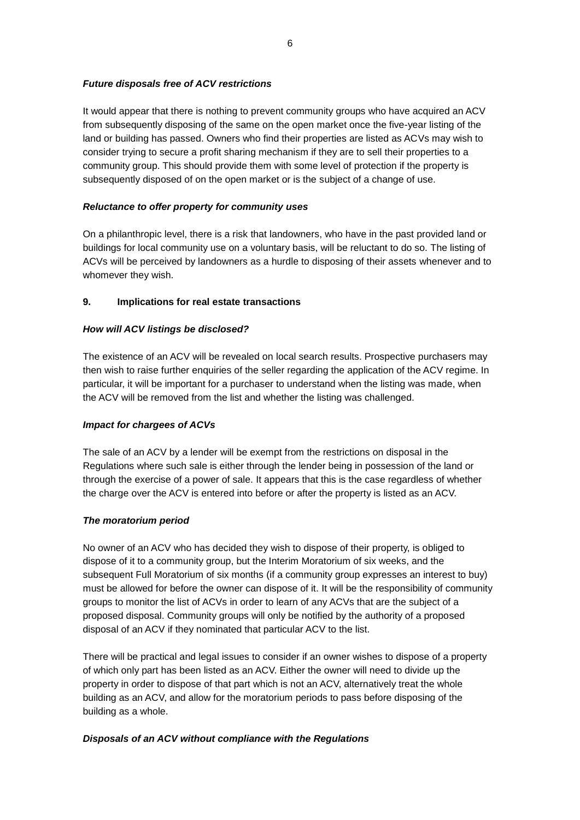#### *Future disposals free of ACV restrictions*

It would appear that there is nothing to prevent community groups who have acquired an ACV from subsequently disposing of the same on the open market once the five-year listing of the land or building has passed. Owners who find their properties are listed as ACVs may wish to consider trying to secure a profit sharing mechanism if they are to sell their properties to a community group. This should provide them with some level of protection if the property is subsequently disposed of on the open market or is the subject of a change of use.

## *Reluctance to offer property for community uses*

On a philanthropic level, there is a risk that landowners, who have in the past provided land or buildings for local community use on a voluntary basis, will be reluctant to do so. The listing of ACVs will be perceived by landowners as a hurdle to disposing of their assets whenever and to whomever they wish.

## **9. Implications for real estate transactions**

## *How will ACV listings be disclosed?*

The existence of an ACV will be revealed on local search results. Prospective purchasers may then wish to raise further enquiries of the seller regarding the application of the ACV regime. In particular, it will be important for a purchaser to understand when the listing was made, when the ACV will be removed from the list and whether the listing was challenged.

#### *Impact for chargees of ACVs*

The sale of an ACV by a lender will be exempt from the restrictions on disposal in the Regulations where such sale is either through the lender being in possession of the land or through the exercise of a power of sale. It appears that this is the case regardless of whether the charge over the ACV is entered into before or after the property is listed as an ACV.

#### *The moratorium period*

No owner of an ACV who has decided they wish to dispose of their property, is obliged to dispose of it to a community group, but the Interim Moratorium of six weeks, and the subsequent Full Moratorium of six months (if a community group expresses an interest to buy) must be allowed for before the owner can dispose of it. It will be the responsibility of community groups to monitor the list of ACVs in order to learn of any ACVs that are the subject of a proposed disposal. Community groups will only be notified by the authority of a proposed disposal of an ACV if they nominated that particular ACV to the list.

There will be practical and legal issues to consider if an owner wishes to dispose of a property of which only part has been listed as an ACV. Either the owner will need to divide up the property in order to dispose of that part which is not an ACV, alternatively treat the whole building as an ACV, and allow for the moratorium periods to pass before disposing of the building as a whole.

# *Disposals of an ACV without compliance with the Regulations*